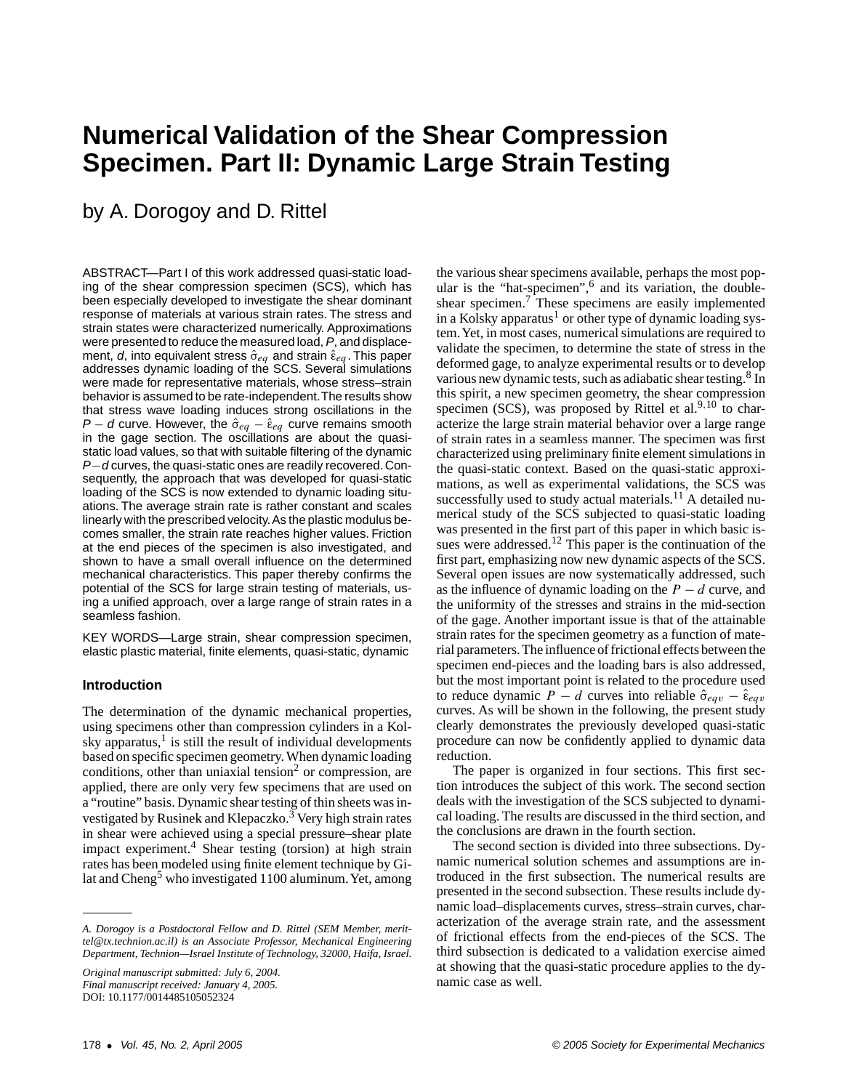# **Numerical Validation of the Shear Compression Specimen. Part II: Dynamic Large Strain Testing**

# by A. Dorogoy and D. Rittel

ABSTRACT—Part I of this work addressed quasi-static loading of the shear compression specimen (SCS), which has been especially developed to investigate the shear dominant response of materials at various strain rates. The stress and strain states were characterized numerically. Approximations were presented to reduce the measured load, P, and displacement, d, into equivalent stress  $\hat{\sigma}_{eq}$  and strain  $\hat{\epsilon}_{eq}$ . This paper addresses dynamic loading of the SCS. Several simulations were made for representative materials, whose stress–strain behavior is assumed to be rate-independent.The results show that stress wave loading induces strong oscillations in the P – d curve. However, the  $\hat{\sigma}_{eq} - \hat{\epsilon}_{eq}$  curve remains smooth in the gage section. The oscillations are about the quasistatic load values, so that with suitable filtering of the dynamic P–d curves, the quasi-static ones are readily recovered. Consequently, the approach that was developed for quasi-static loading of the SCS is now extended to dynamic loading situations. The average strain rate is rather constant and scales linearly with the prescribed velocity.As the plastic modulus becomes smaller, the strain rate reaches higher values. Friction at the end pieces of the specimen is also investigated, and shown to have a small overall influence on the determined mechanical characteristics. This paper thereby confirms the potential of the SCS for large strain testing of materials, using a unified approach, over a large range of strain rates in a seamless fashion.

KEY WORDS—Large strain, shear compression specimen, elastic plastic material, finite elements, quasi-static, dynamic

### **Introduction**

The determination of the dynamic mechanical properties, using specimens other than compression cylinders in a Kolsky apparatus, $<sup>1</sup>$  is still the result of individual developments</sup> based on specific specimen geometry. When dynamic loading conditions, other than uniaxial tension<sup>2</sup> or compression, are applied, there are only very few specimens that are used on a "routine" basis. Dynamic shear testing of thin sheets was investigated by Rusinek and Klepaczko.<sup>3</sup> Very high strain rates in shear were achieved using a special pressure–shear plate impact experiment.<sup>4</sup> Shear testing (torsion) at high strain rates has been modeled using finite element technique by Gilat and  $Cheng<sup>5</sup>$  who investigated 1100 aluminum. Yet, among the various shear specimens available, perhaps the most popular is the "hat-specimen",<sup>6</sup> and its variation, the doubleshear specimen.<sup>7</sup> These specimens are easily implemented in a Kolsky apparatus<sup>1</sup> or other type of dynamic loading system.Yet, in most cases, numerical simulations are required to validate the specimen, to determine the state of stress in the deformed gage, to analyze experimental results or to develop various new dynamic tests, such as adiabatic shear testing.<sup>8</sup> In this spirit, a new specimen geometry, the shear compression specimen (SCS), was proposed by Rittel et al. $9,10$  to characterize the large strain material behavior over a large range of strain rates in a seamless manner. The specimen was first characterized using preliminary finite element simulations in the quasi-static context. Based on the quasi-static approximations, as well as experimental validations, the SCS was successfully used to study actual materials.<sup>11</sup> A detailed numerical study of the SCS subjected to quasi-static loading was presented in the first part of this paper in which basic issues were addressed.<sup>12</sup> This paper is the continuation of the first part, emphasizing now new dynamic aspects of the SCS. Several open issues are now systematically addressed, such as the influence of dynamic loading on the  $P - d$  curve, and the uniformity of the stresses and strains in the mid-section of the gage. Another important issue is that of the attainable strain rates for the specimen geometry as a function of material parameters.The influence of frictional effects between the specimen end-pieces and the loading bars is also addressed, but the most important point is related to the procedure used to reduce dynamic  $P - d$  curves into reliable  $\hat{\sigma}_{eqv} - \hat{\epsilon}_{eqv}$ curves. As will be shown in the following, the present study clearly demonstrates the previously developed quasi-static procedure can now be confidently applied to dynamic data reduction.

The paper is organized in four sections. This first section introduces the subject of this work. The second section deals with the investigation of the SCS subjected to dynamical loading. The results are discussed in the third section, and the conclusions are drawn in the fourth section.

The second section is divided into three subsections. Dynamic numerical solution schemes and assumptions are introduced in the first subsection. The numerical results are presented in the second subsection. These results include dynamic load–displacements curves, stress–strain curves, characterization of the average strain rate, and the assessment of frictional effects from the end-pieces of the SCS. The third subsection is dedicated to a validation exercise aimed at showing that the quasi-static procedure applies to the dynamic case as well.

*A. Dorogoy is a Postdoctoral Fellow and D. Rittel (SEM Member, merittel@tx.technion.ac.il) is an Associate Professor, Mechanical Engineering Department, Technion—Israel Institute of Technology, 32000, Haifa, Israel.*

*Original manuscript submitted: July 6, 2004. Final manuscript received: January 4, 2005.* DOI: 10.1177/0014485105052324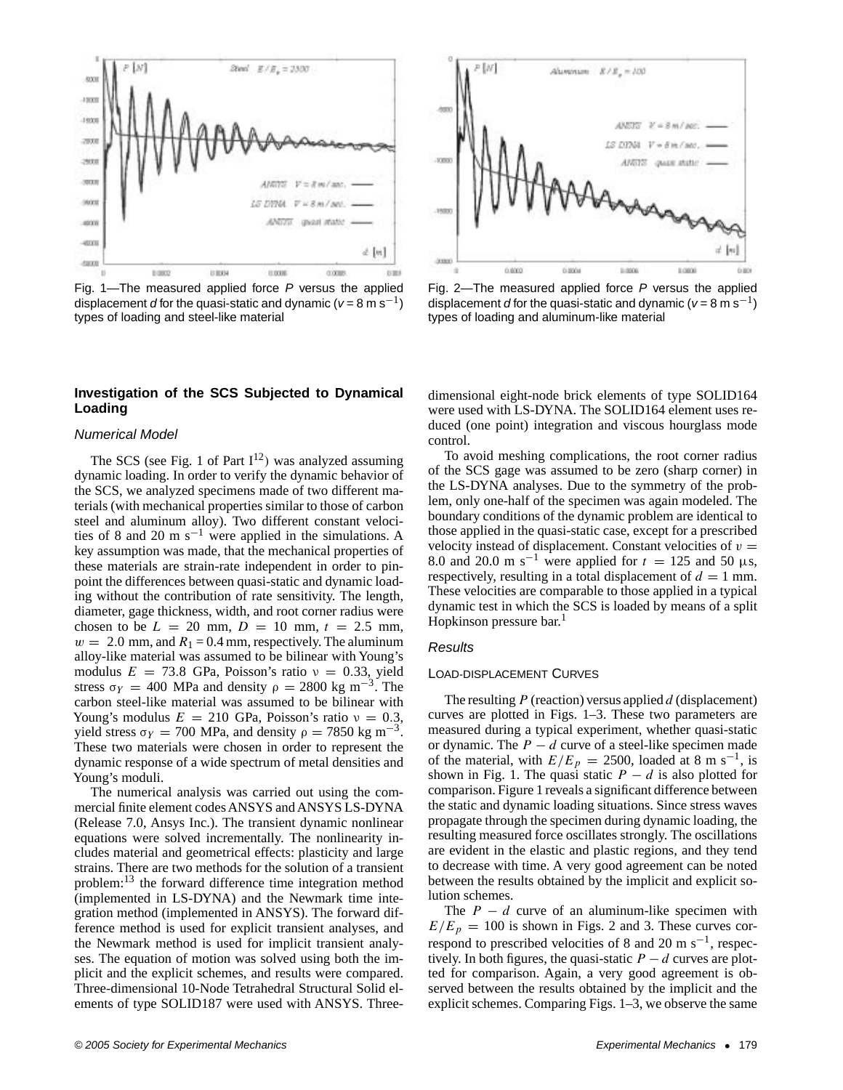

Fig. 1—The measured applied force  $P$  versus the applied displacement d for the quasi-static and dynamic ( $v = 8$  m s<sup>-1</sup>) types of loading and steel-like material

## **Investigation of the SCS Subjected to Dynamical Loading**

#### Numerical Model

The SCS (see Fig. 1 of Part  $I^{12}$ ) was analyzed assuming dynamic loading. In order to verify the dynamic behavior of the SCS, we analyzed specimens made of two different materials (with mechanical properties similar to those of carbon steel and aluminum alloy). Two different constant velocities of 8 and 20 m s−<sup>1</sup> were applied in the simulations. A key assumption was made, that the mechanical properties of these materials are strain-rate independent in order to pinpoint the differences between quasi-static and dynamic loading without the contribution of rate sensitivity. The length, diameter, gage thickness, width, and root corner radius were chosen to be  $L = 20$  mm,  $D = 10$  mm,  $t = 2.5$  mm,  $w = 2.0$  mm, and  $R_1 = 0.4$  mm, respectively. The aluminum alloy-like material was assumed to be bilinear with Young's modulus  $E = 73.8$  GPa, Poisson's ratio  $v = 0.33$ , yield stress  $\sigma_Y = 400$  MPa and density  $\rho = 2800$  kg m<sup>-3</sup>. The carbon steel-like material was assumed to be bilinear with Young's modulus  $E = 210$  GPa, Poisson's ratio  $v = 0.3$ , yield stress  $\sigma_Y$  = 700 MPa, and density  $\rho$  = 7850 kg m<sup>-3</sup>. These two materials were chosen in order to represent the dynamic response of a wide spectrum of metal densities and Young's moduli.

The numerical analysis was carried out using the commercial finite element codes ANSYS and ANSYS LS-DYNA (Release 7.0, Ansys Inc.). The transient dynamic nonlinear equations were solved incrementally. The nonlinearity includes material and geometrical effects: plasticity and large strains. There are two methods for the solution of a transient problem:<sup>13</sup> the forward difference time integration method (implemented in LS-DYNA) and the Newmark time integration method (implemented in ANSYS). The forward difference method is used for explicit transient analyses, and the Newmark method is used for implicit transient analyses. The equation of motion was solved using both the implicit and the explicit schemes, and results were compared. Three-dimensional 10-Node Tetrahedral Structural Solid elements of type SOLID187 were used with ANSYS. Three-



Fig. 2—The measured applied force  $P$  versus the applied displacement d for the quasi-static and dynamic ( $v = 8$  m s<sup>-1</sup>) types of loading and aluminum-like material

dimensional eight-node brick elements of type SOLID164 were used with LS-DYNA. The SOLID164 element uses reduced (one point) integration and viscous hourglass mode control.

To avoid meshing complications, the root corner radius of the SCS gage was assumed to be zero (sharp corner) in the LS-DYNA analyses. Due to the symmetry of the problem, only one-half of the specimen was again modeled. The boundary conditions of the dynamic problem are identical to those applied in the quasi-static case, except for a prescribed velocity instead of displacement. Constant velocities of  $v =$ 8.0 and 20.0 m s<sup>-1</sup> were applied for  $t = 125$  and 50 µs, respectively, resulting in a total displacement of  $d = 1$  mm. These velocities are comparable to those applied in a typical dynamic test in which the SCS is loaded by means of a split Hopkinson pressure bar.<sup>1</sup>

#### Results

#### LOAD-DISPLACEMENT CURVES

The resulting  $P$  (reaction) versus applied  $d$  (displacement) curves are plotted in Figs. 1–3. These two parameters are measured during a typical experiment, whether quasi-static or dynamic. The  $P - d$  curve of a steel-like specimen made of the material, with  $E/E_p = 2500$ , loaded at 8 m s<sup>-1</sup>, is shown in Fig. 1. The quasi static  $P - d$  is also plotted for comparison. Figure 1 reveals a significant difference between the static and dynamic loading situations. Since stress waves propagate through the specimen during dynamic loading, the resulting measured force oscillates strongly. The oscillations are evident in the elastic and plastic regions, and they tend to decrease with time. A very good agreement can be noted between the results obtained by the implicit and explicit solution schemes.

The  $P - d$  curve of an aluminum-like specimen with  $E/E_p = 100$  is shown in Figs. 2 and 3. These curves correspond to prescribed velocities of 8 and 20 m s<sup>-1</sup>, respectively. In both figures, the quasi-static  $P - d$  curves are plotted for comparison. Again, a very good agreement is observed between the results obtained by the implicit and the explicit schemes. Comparing Figs. 1–3, we observe the same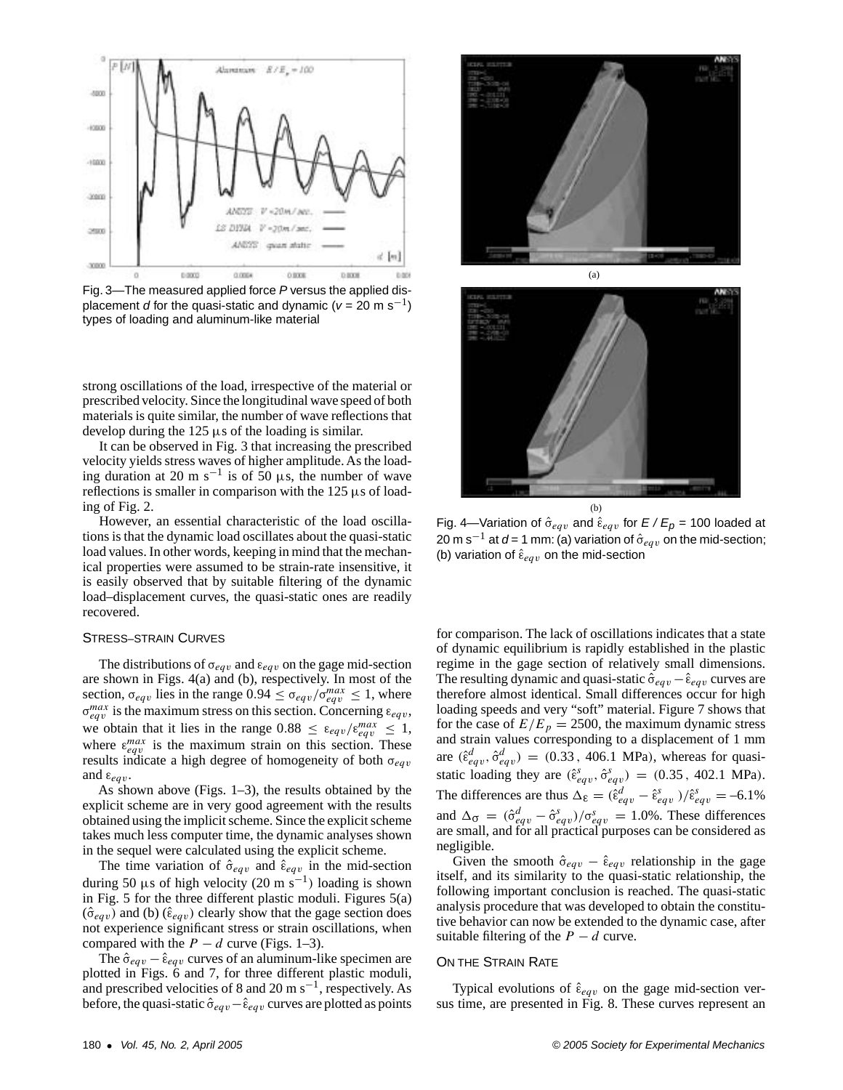

Fig. 3—The measured applied force P versus the applied displacement d for the quasi-static and dynamic ( $v = 20$  m s<sup>-1</sup>) types of loading and aluminum-like material

strong oscillations of the load, irrespective of the material or prescribed velocity. Since the longitudinal wave speed of both materials is quite similar, the number of wave reflections that develop during the  $125 \mu s$  of the loading is similar.

It can be observed in Fig. 3 that increasing the prescribed velocity yields stress waves of higher amplitude. As the loading duration at 20 m s<sup>-1</sup> is of 50  $\mu$ s, the number of wave reflections is smaller in comparison with the  $125 \mu s$  of loading of Fig. 2.

However, an essential characteristic of the load oscillations is that the dynamic load oscillates about the quasi-static load values. In other words, keeping in mind that the mechanical properties were assumed to be strain-rate insensitive, it is easily observed that by suitable filtering of the dynamic load–displacement curves, the quasi-static ones are readily recovered.

#### STRESS–STRAIN CURVES

The distributions of  $\sigma_{eqv}$  and  $\varepsilon_{eqv}$  on the gage mid-section are shown in Figs. 4(a) and (b), respectively. In most of the section,  $\sigma_{eqv}$  lies in the range  $0.94 \leq \sigma_{eqv}/\sigma_{eqv}^{max} \leq 1$ , where  $\sigma_{eav}^{max}$  is the maximum stress on this section. Concerning  $\varepsilon_{eqv}$ , we obtain that it lies in the range  $0.88 \leq \varepsilon_{eqv}/\varepsilon_{eqv}^{max} \leq 1$ , where  $\varepsilon_{eav}^{max}$  is the maximum strain on this section. These results indicate a high degree of homogeneity of both  $\sigma_{eqv}$ and  $\varepsilon_{eav}$ .

As shown above (Figs. 1–3), the results obtained by the explicit scheme are in very good agreement with the results obtained using the implicit scheme. Since the explicit scheme takes much less computer time, the dynamic analyses shown in the sequel were calculated using the explicit scheme.

The time variation of  $\hat{\sigma}_{eqv}$  and  $\hat{\epsilon}_{eqv}$  in the mid-section during 50 µs of high velocity (20 m s<sup>-1</sup>) loading is shown in Fig. 5 for the three different plastic moduli. Figures 5(a)  $(\hat{\sigma}_{eqv})$  and (b)  $(\hat{\varepsilon}_{eqv})$  clearly show that the gage section does not experience significant stress or strain oscillations, when compared with the  $P - d$  curve (Figs. 1–3).

The  $\hat{\sigma}_{eqv} - \hat{\epsilon}_{eqv}$  curves of an aluminum-like specimen are plotted in Figs. 6 and 7, for three different plastic moduli, and prescribed velocities of 8 and 20 m  $s^{-1}$ , respectively. As before, the quasi-static  $\hat{\sigma}_{eqv} - \hat{\epsilon}_{eqv}$  curves are plotted as points



Fig. 4—Variation of  $\hat{\sigma}_{eqv}$  and  $\hat{\epsilon}_{eqv}$  for  $E/E_p = 100$  loaded at 20 m s<sup>-1</sup> at d = 1 mm: (a) variation of  $\hat{\sigma}_{eqv}$  on the mid-section; (b) variation of  $\hat{\epsilon}_{eqv}$  on the mid-section

for comparison. The lack of oscillations indicates that a state of dynamic equilibrium is rapidly established in the plastic regime in the gage section of relatively small dimensions. The resulting dynamic and quasi-static  $\hat{\sigma}_{eqv} - \hat{\epsilon}_{eqv}$  curves are therefore almost identical. Small differences occur for high loading speeds and very "soft" material. Figure 7 shows that for the case of  $E/E_p = 2500$ , the maximum dynamic stress and strain values corresponding to a displacement of 1 mm are  $(\hat{\epsilon}_{eqv}^d, \hat{\sigma}_{eqv}^d)$  = (0.33, 406.1 MPa), whereas for quasistatic loading they are  $(\hat{\epsilon}_{eqv}^s, \hat{\sigma}_{eqv}^s) = (0.35, 402.1 \text{ MPa}).$ The differences are thus  $\Delta \varepsilon = (\hat{\varepsilon}_{eqv}^d - \hat{\varepsilon}_{eqv}^s)/\hat{\varepsilon}_{eqv}^s = -6.1\%$ and  $\Delta_{\sigma} = (\hat{\sigma}_{eqv}^d - \hat{\sigma}_{eqv}^s)/\sigma_{eqv}^s = 1.0\%$ . These differences are small, and for all practical purposes can be considered as negligible.

Given the smooth  $\hat{\sigma}_{eqv} - \hat{\epsilon}_{eqv}$  relationship in the gage itself, and its similarity to the quasi-static relationship, the following important conclusion is reached. The quasi-static analysis procedure that was developed to obtain the constitutive behavior can now be extended to the dynamic case, after suitable filtering of the  $P - d$  curve.

#### ON THE STRAIN RATE

Typical evolutions of  $\hat{\epsilon}_{eqv}$  on the gage mid-section versus time, are presented in Fig. 8. These curves represent an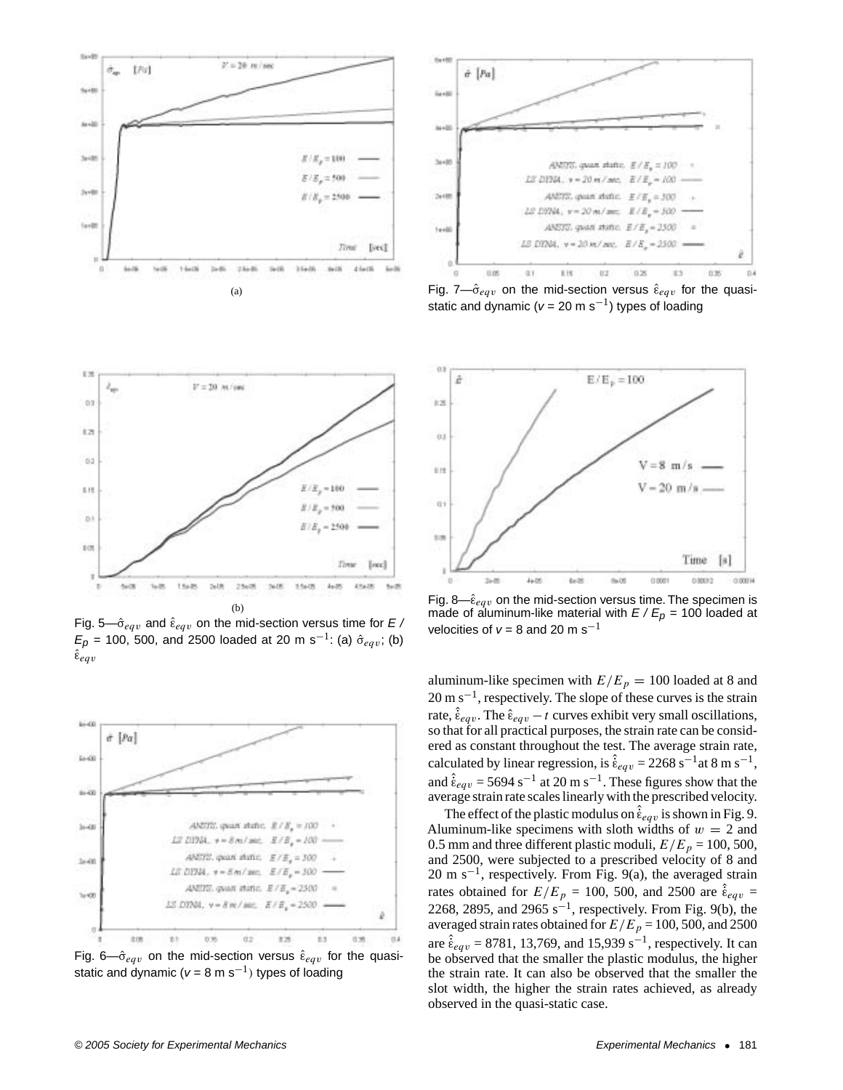



Fig. 5— $\hat{\sigma}_{eqv}$  and  $\hat{\epsilon}_{eqv}$  on the mid-section versus time for E /  $E_p = 100$ , 500, and 2500 loaded at 20 m s<sup>-1</sup>: (a)  $\hat{\sigma}_{eqv}$ ; (b)  $\hat{\epsilon}_{eqv}$ 



Fig. 6— $\hat{\sigma}_{eqv}$  on the mid-section versus  $\hat{\epsilon}_{eqv}$  for the quasistatic and dynamic ( $v = 8$  m s<sup>-1</sup>) types of loading



Fig. 7— $\hat{\sigma}_{eav}$  on the mid-section versus  $\hat{\epsilon}_{eav}$  for the quasistatic and dynamic ( $v = 20$  m s<sup>-1</sup>) types of loading



Fig. 8— $\hat{\epsilon}_{eqv}$  on the mid-section versus time. The specimen is made of aluminum-like material with  $E/E_p = 100$  loaded at velocities of  $v = 8$  and 20 m s<sup>-1</sup>

aluminum-like specimen with  $E/E_p = 100$  loaded at 8 and  $20 \text{ m s}^{-1}$ , respectively. The slope of these curves is the strain rate,  $\hat{\epsilon}_{eqv}$ . The  $\hat{\epsilon}_{eqv} - t$  curves exhibit very small oscillations, so that for all practical purposes, the strain rate can be considered as constant throughout the test. The average strain rate, calculated by linear regression, is  $\hat{\epsilon}_{eqv} = 2268 \text{ s}^{-1}$  at 8 m s<sup>-1</sup>, and  $\hat{\epsilon}_{eqv}$  = 5694 s<sup>-1</sup> at 20 m s<sup>-1</sup>. These figures show that the average strain rate scales linearly with the prescribed velocity.

The effect of the plastic modulus on  $\dot{\epsilon}_{eqv}$  is shown in Fig. 9. Aluminum-like specimens with sloth widths of  $w = 2$  and 0.5 mm and three different plastic moduli,  $E/E_p = 100, 500$ , and 2500, were subjected to a prescribed velocity of 8 and 20 m s<sup> $-1$ </sup>, respectively. From Fig. 9(a), the averaged strain rates obtained for  $E/E_p = 100$ , 500, and 2500 are  $\hat{\epsilon}_{eqv}$  = 2268, 2895, and 2965 s<sup>-1</sup>, respectively. From Fig. 9(b), the averaged strain rates obtained for  $E/E_p = 100, 500,$  and 2500 are  $\hat{\epsilon}_{eqv}$  = 8781, 13,769, and 15,939 s<sup>-1</sup>, respectively. It can be observed that the smaller the plastic modulus, the higher the strain rate. It can also be observed that the smaller the slot width, the higher the strain rates achieved, as already observed in the quasi-static case.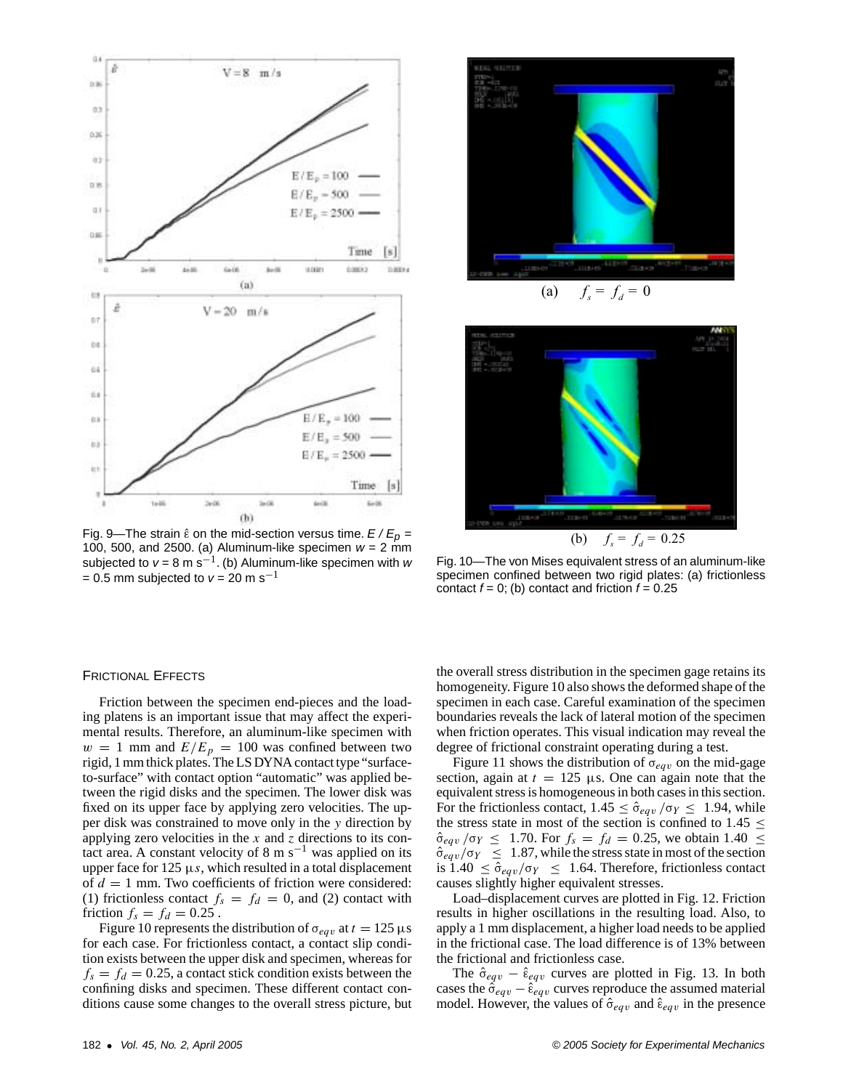

Fig. 9—The strain  $\hat{\epsilon}$  on the mid-section versus time.  $E/E_p =$ 100, 500, and 2500. (a) Aluminum-like specimen  $w = 2$  mm subjected to  $v = 8$  m s<sup>-1</sup>. (b) Aluminum-like specimen with w = 0.5 mm subjected to  $v = 20$  m s<sup>-1</sup>





Fig. 10—The von Mises equivalent stress of an aluminum-like specimen confined between two rigid plates: (a) frictionless contact  $f = 0$ ; (b) contact and friction  $f = 0.25$ 

#### FRICTIONAL EFFECTS

Friction between the specimen end-pieces and the loading platens is an important issue that may affect the experimental results. Therefore, an aluminum-like specimen with  $w = 1$  mm and  $E/E_p = 100$  was confined between two rigid, 1 mm thick plates. The LS DYNA contact type "surfaceto-surface" with contact option "automatic" was applied between the rigid disks and the specimen. The lower disk was fixed on its upper face by applying zero velocities. The upper disk was constrained to move only in the y direction by applying zero velocities in the  $x$  and  $z$  directions to its contact area. A constant velocity of 8 m s<sup> $-1$ </sup> was applied on its upper face for 125  $\mu s$ , which resulted in a total displacement of  $d = 1$  mm. Two coefficients of friction were considered: (1) frictionless contact  $f_s = f_d = 0$ , and (2) contact with friction  $f_s = f_d = 0.25$ .

Figure 10 represents the distribution of  $\sigma_{eqv}$  at  $t = 125 \,\mu s$ for each case. For frictionless contact, a contact slip condition exists between the upper disk and specimen, whereas for  $f_s = f_d = 0.25$ , a contact stick condition exists between the confining disks and specimen. These different contact conditions cause some changes to the overall stress picture, but

the overall stress distribution in the specimen gage retains its homogeneity. Figure 10 also shows the deformed shape of the specimen in each case. Careful examination of the specimen boundaries reveals the lack of lateral motion of the specimen when friction operates. This visual indication may reveal the degree of frictional constraint operating during a test.

Figure 11 shows the distribution of  $\sigma_{eqv}$  on the mid-gage section, again at  $t = 125$  µs. One can again note that the equivalent stress is homogeneous in both cases in this section. For the frictionless contact,  $1.45 \leq \hat{\sigma}_{eqv} / \sigma_Y \leq 1.94$ , while the stress state in most of the section is confined to 1.45  $\leq$  $\hat{\sigma}_{eqv}$  /σ $\gamma \leq 1.70$ . For  $f_s = f_d = 0.25$ , we obtain 1.40  $\leq$  $\hat{\sigma}_{eqv}/\sigma_Y \leq 1.87$ , while the stress state in most of the section is 1.40  $\leq \hat{\sigma}_{eqv}/\sigma_Y \leq 1.64$ . Therefore, frictionless contact causes slightly higher equivalent stresses.

Load–displacement curves are plotted in Fig. 12. Friction results in higher oscillations in the resulting load. Also, to apply a 1 mm displacement, a higher load needs to be applied in the frictional case. The load difference is of 13% between the frictional and frictionless case.

The  $\hat{\sigma}_{eqv} - \hat{\epsilon}_{eqv}$  curves are plotted in Fig. 13. In both cases the  $\hat{\sigma}_{eqv} - \hat{\epsilon}_{eqv}$  curves reproduce the assumed material model. However, the values of  $\hat{\sigma}_{eqv}$  and  $\hat{\epsilon}_{eqv}$  in the presence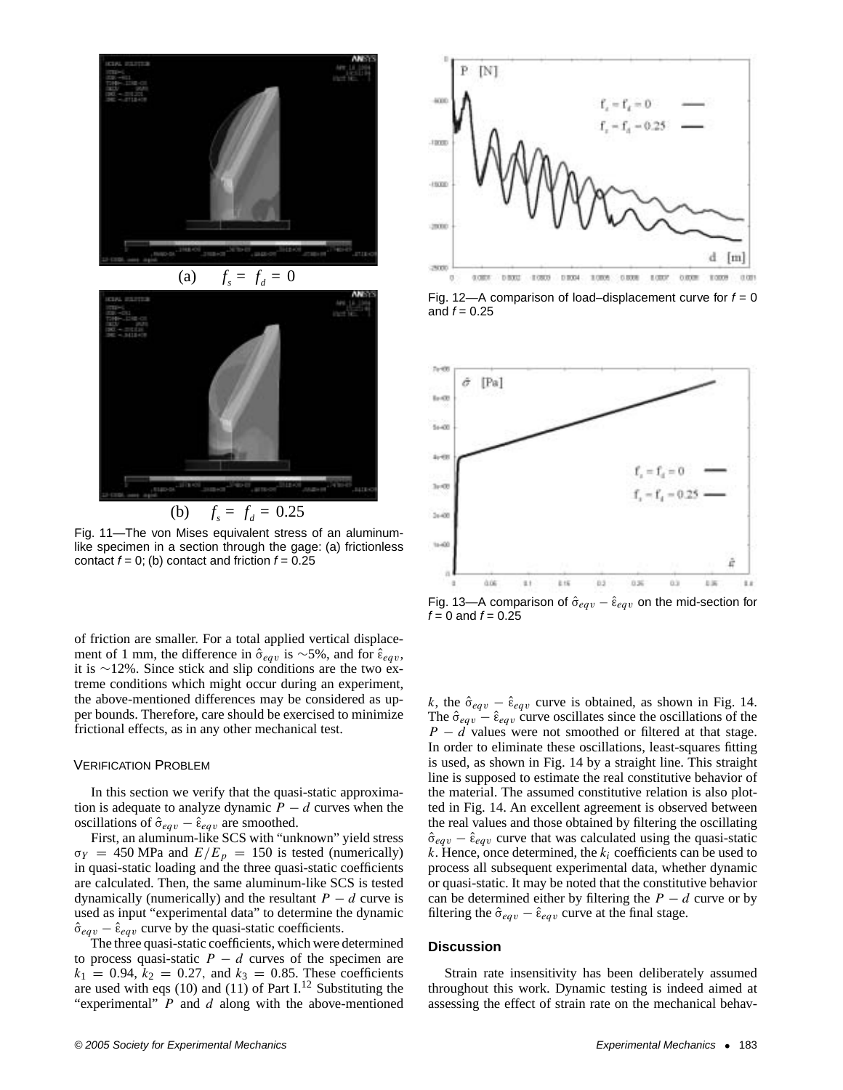



(b)  $f_s = f_d = 0.25$ 

Fig. 11—The von Mises equivalent stress of an aluminumlike specimen in a section through the gage: (a) frictionless contact  $f = 0$ ; (b) contact and friction  $f = 0.25$ 

of friction are smaller. For a total applied vertical displacement of 1 mm, the difference in  $\hat{\sigma}_{eqv}$  is ~5%, and for  $\hat{\epsilon}_{eqv}$ , it is ∼12%. Since stick and slip conditions are the two extreme conditions which might occur during an experiment, the above-mentioned differences may be considered as upper bounds. Therefore, care should be exercised to minimize frictional effects, as in any other mechanical test.

#### VERIFICATION PROBLEM

In this section we verify that the quasi-static approximation is adequate to analyze dynamic  $P - d$  curves when the oscillations of  $\hat{\sigma}_{eqv} - \hat{\epsilon}_{eqv}$  are smoothed.

First, an aluminum-like SCS with "unknown" yield stress  $\sigma_Y = 450 \text{ MPa}$  and  $E/E_p = 150$  is tested (numerically) in quasi-static loading and the three quasi-static coefficients are calculated. Then, the same aluminum-like SCS is tested dynamically (numerically) and the resultant  $P - d$  curve is used as input "experimental data" to determine the dynamic  $\ddot{\sigma}_{eqv} - \hat{\epsilon}_{eqv}$  curve by the quasi-static coefficients.

The three quasi-static coefficients, which were determined to process quasi-static  $P - d$  curves of the specimen are  $k_1 = 0.94$ ,  $k_2 = 0.27$ , and  $k_3 = 0.85$ . These coefficients are used with eqs (10) and (11) of Part I.<sup>12</sup> Substituting the "experimental"  $P$  and  $d$  along with the above-mentioned



Fig. 12—A comparison of load–displacement curve for  $f = 0$ and  $f = 0.25$ 



Fig. 13—A comparison of  $\hat{\sigma}_{eqv} - \hat{\epsilon}_{eqv}$  on the mid-section for  $f = 0$  and  $f = 0.25$ 

k, the  $\hat{\sigma}_{eqv} - \hat{\epsilon}_{eqv}$  curve is obtained, as shown in Fig. 14. The  $\hat{\sigma}_{eqv} - \hat{\epsilon}_{eqv}$  curve oscillates since the oscillations of the  $P - d$  values were not smoothed or filtered at that stage. In order to eliminate these oscillations, least-squares fitting is used, as shown in Fig. 14 by a straight line. This straight line is supposed to estimate the real constitutive behavior of the material. The assumed constitutive relation is also plotted in Fig. 14. An excellent agreement is observed between the real values and those obtained by filtering the oscillating  $\hat{\sigma}_{eqv} - \hat{\epsilon}_{eqv}$  curve that was calculated using the quasi-static k. Hence, once determined, the  $k_i$  coefficients can be used to process all subsequent experimental data, whether dynamic or quasi-static. It may be noted that the constitutive behavior can be determined either by filtering the  $P - d$  curve or by filtering the  $\hat{\sigma}_{eqv} - \hat{\epsilon}_{eqv}$  curve at the final stage.

#### **Discussion**

Strain rate insensitivity has been deliberately assumed throughout this work. Dynamic testing is indeed aimed at assessing the effect of strain rate on the mechanical behav-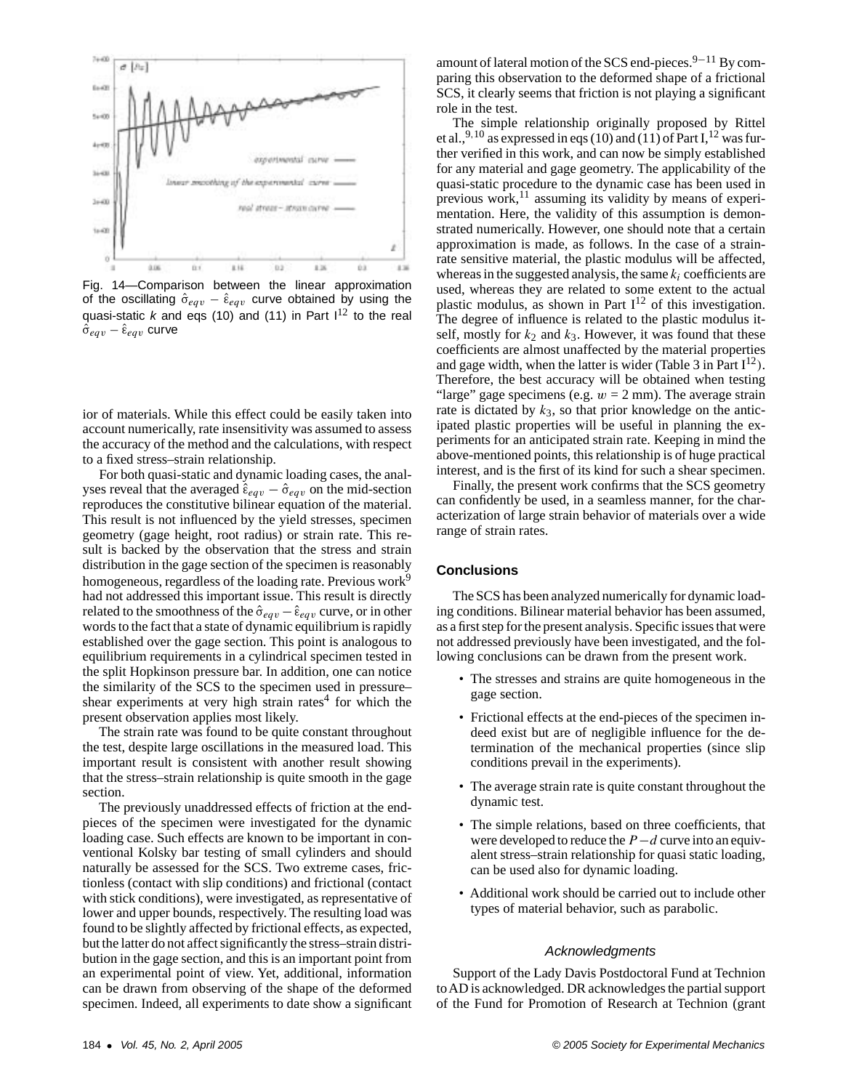

Fig. 14—Comparison between the linear approximation of the oscillating  $\hat{\sigma}_{eqv} - \hat{\epsilon}_{eqv}$  curve obtained by using the quasi-static k and eqs (10) and (11) in Part  $1^{12}$  to the real  $\hat{\sigma}_{eqv} - \hat{\epsilon}_{eqv}$  curve

ior of materials. While this effect could be easily taken into account numerically, rate insensitivity was assumed to assess the accuracy of the method and the calculations, with respect to a fixed stress–strain relationship.

For both quasi-static and dynamic loading cases, the analyses reveal that the averaged  $\hat{\epsilon}_{eqv} - \hat{\sigma}_{eqv}$  on the mid-section reproduces the constitutive bilinear equation of the material. This result is not influenced by the yield stresses, specimen geometry (gage height, root radius) or strain rate. This result is backed by the observation that the stress and strain distribution in the gage section of the specimen is reasonably homogeneous, regardless of the loading rate. Previous work<sup>9</sup> had not addressed this important issue. This result is directly related to the smoothness of the  $\hat{\sigma}_{eqv} - \hat{\epsilon}_{eqv}$  curve, or in other words to the fact that a state of dynamic equilibrium is rapidly established over the gage section. This point is analogous to equilibrium requirements in a cylindrical specimen tested in the split Hopkinson pressure bar. In addition, one can notice the similarity of the SCS to the specimen used in pressure– shear experiments at very high strain rates $4$  for which the present observation applies most likely.

The strain rate was found to be quite constant throughout the test, despite large oscillations in the measured load. This important result is consistent with another result showing that the stress–strain relationship is quite smooth in the gage section.

The previously unaddressed effects of friction at the endpieces of the specimen were investigated for the dynamic loading case. Such effects are known to be important in conventional Kolsky bar testing of small cylinders and should naturally be assessed for the SCS. Two extreme cases, frictionless (contact with slip conditions) and frictional (contact with stick conditions), were investigated, as representative of lower and upper bounds, respectively. The resulting load was found to be slightly affected by frictional effects, as expected, but the latter do not affect significantly the stress–strain distribution in the gage section, and this is an important point from an experimental point of view. Yet, additional, information can be drawn from observing of the shape of the deformed specimen. Indeed, all experiments to date show a significant amount of lateral motion of the SCS end-pieces. $9-11$  By comparing this observation to the deformed shape of a frictional SCS, it clearly seems that friction is not playing a significant role in the test.

The simple relationship originally proposed by Rittel et al., <sup>9,10</sup> as expressed in eqs (10) and (11) of Part I, <sup>12</sup> was further verified in this work, and can now be simply established for any material and gage geometry. The applicability of the quasi-static procedure to the dynamic case has been used in previous work, $^{11}$  assuming its validity by means of experimentation. Here, the validity of this assumption is demonstrated numerically. However, one should note that a certain approximation is made, as follows. In the case of a strainrate sensitive material, the plastic modulus will be affected, whereas in the suggested analysis, the same  $k_i$  coefficients are used, whereas they are related to some extent to the actual plastic modulus, as shown in Part  $I^{12}$  of this investigation. The degree of influence is related to the plastic modulus itself, mostly for  $k_2$  and  $k_3$ . However, it was found that these coefficients are almost unaffected by the material properties and gage width, when the latter is wider (Table 3 in Part  $I^{12}$ ). Therefore, the best accuracy will be obtained when testing "large" gage specimens (e.g.  $w = 2$  mm). The average strain rate is dictated by  $k_3$ , so that prior knowledge on the anticipated plastic properties will be useful in planning the experiments for an anticipated strain rate. Keeping in mind the above-mentioned points, this relationship is of huge practical interest, and is the first of its kind for such a shear specimen.

Finally, the present work confirms that the SCS geometry can confidently be used, in a seamless manner, for the characterization of large strain behavior of materials over a wide range of strain rates.

#### **Conclusions**

The SCS has been analyzed numerically for dynamic loading conditions. Bilinear material behavior has been assumed, as a first step for the present analysis. Specific issues that were not addressed previously have been investigated, and the following conclusions can be drawn from the present work.

- The stresses and strains are quite homogeneous in the gage section.
- Frictional effects at the end-pieces of the specimen indeed exist but are of negligible influence for the determination of the mechanical properties (since slip conditions prevail in the experiments).
- The average strain rate is quite constant throughout the dynamic test.
- The simple relations, based on three coefficients, that were developed to reduce the  $P - d$  curve into an equivalent stress–strain relationship for quasi static loading, can be used also for dynamic loading.
- Additional work should be carried out to include other types of material behavior, such as parabolic.

#### Acknowledgments

Support of the Lady Davis Postdoctoral Fund at Technion toAD is acknowledged. DR acknowledges the partial support of the Fund for Promotion of Research at Technion (grant